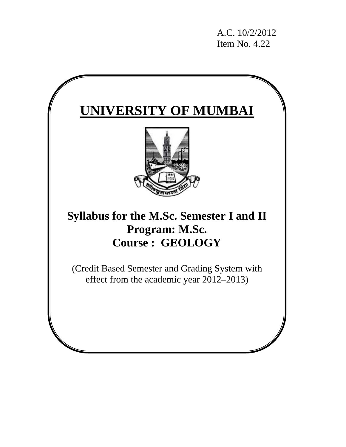A.C. 10/2/2012 Item No. 4.22

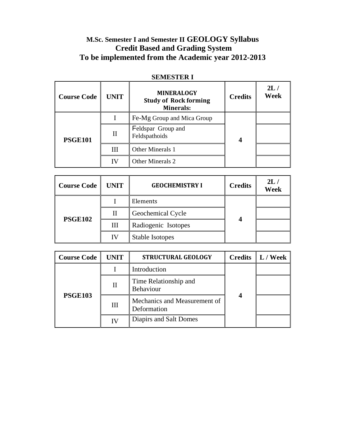# **M.Sc. Semester I and Semester II GEOLOGY Syllabus Credit Based and Grading System To be implemented from the Academic year 2012-2013**

| <b>Course Code</b> | <b>UNIT</b> | <b>MINERALOGY</b><br><b>Study of Rock forming</b><br><b>Minerals:</b> | <b>Credits</b> | 2L/<br>Week |
|--------------------|-------------|-----------------------------------------------------------------------|----------------|-------------|
| <b>PSGE101</b>     |             | Fe-Mg Group and Mica Group                                            |                |             |
|                    | Н           | Feldspar Group and<br>Feldspathoids                                   |                |             |
|                    | Ш           | Other Minerals 1                                                      |                |             |
|                    | ΙV          | Other Minerals 2                                                      |                |             |

# **SEMESTER I**

| <b>Course Code</b> | <b>UNIT</b> | <b>GEOCHEMISTRY I</b>  | <b>Credits</b> | 2L/<br><b>Week</b> |
|--------------------|-------------|------------------------|----------------|--------------------|
| <b>PSGE102</b>     |             | Elements               |                |                    |
|                    |             | Geochemical Cycle      |                |                    |
|                    | Ш           | Radiogenic Isotopes    |                |                    |
|                    | IV          | <b>Stable Isotopes</b> |                |                    |

| <b>Course Code</b> | <b>UNIT</b> | <b>STRUCTURAL GEOLOGY</b>                   |  | <b>Credits</b> $\  L /$ Week |
|--------------------|-------------|---------------------------------------------|--|------------------------------|
| <b>PSGE103</b>     |             | Introduction                                |  |                              |
|                    | $\rm II$    | Time Relationship and<br>Behaviour          |  |                              |
|                    | Ш           | Mechanics and Measurement of<br>Deformation |  |                              |
|                    |             | Diapirs and Salt Domes                      |  |                              |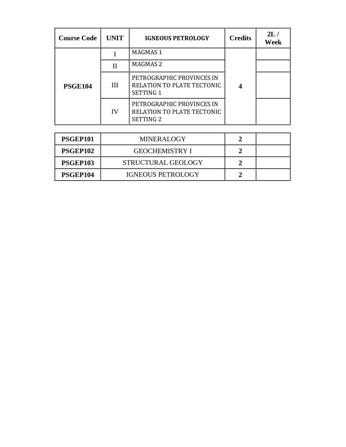| <b>Course Code</b> | <b>UNIT</b>  | <b>IGNEOUS PETROLOGY</b>                                                    | <b>Credits</b> | 2L/<br>Week |
|--------------------|--------------|-----------------------------------------------------------------------------|----------------|-------------|
|                    |              | MAGMAS 1                                                                    |                |             |
| <b>PSGE104</b>     | Н            | MAGMAS 2                                                                    |                |             |
|                    | $\mathbf{H}$ | PETROGRAPHIC PROVINCES IN<br>RELATION TO PLATE TECTONIC<br><b>SETTING 1</b> |                |             |
|                    | IV           | PETROGRAPHIC PROVINCES IN<br>RELATION TO PLATE TECTONIC<br><b>SETTING 2</b> |                |             |

| PSGEP101 | <b>MINERALOGY</b>        |  |
|----------|--------------------------|--|
| PSGEP102 | <b>GEOCHEMISTRY I</b>    |  |
| PSGEP103 | STRUCTURAL GEOLOGY       |  |
| PSGEP104 | <b>IGNEOUS PETROLOGY</b> |  |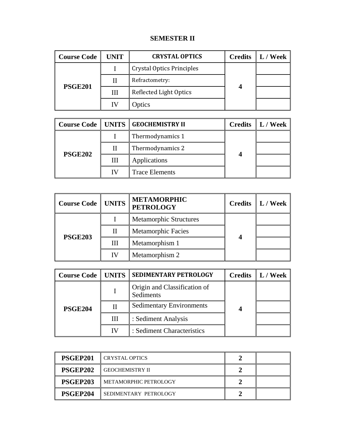# **SEMESTER II**

| <b>Course Code</b> | <b>UNIT</b> | <b>CRYSTAL OPTICS</b>     | <b>Credits</b> $\  L / \text{Week} \ $ |
|--------------------|-------------|---------------------------|----------------------------------------|
| <b>PSGE201</b>     |             | Crystal Optics Principles |                                        |
|                    |             | Refractometry:            |                                        |
|                    | Ш           | Reflected Light Optics    |                                        |
|                    |             | Optics                    |                                        |

|                |    | Course Code   UNITS   GEOCHEMISTRY II | <b>Credits</b> $\ $ L / Week |
|----------------|----|---------------------------------------|------------------------------|
| <b>PSGE202</b> |    | Thermodynamics 1                      |                              |
|                |    | Thermodynamics 2                      |                              |
|                | Ш  | Applications                          |                              |
|                | ΙА | <b>Trace Elements</b>                 |                              |

| <b>Course Code   UNITS</b> |    | <b>METAMORPHIC</b><br><b>PETROLOGY</b> |  | Credits $\  L /$ Week |
|----------------------------|----|----------------------------------------|--|-----------------------|
| <b>PSGE203</b>             |    | <b>Metamorphic Structures</b>          |  |                       |
|                            | Н  | <b>Metamorphic Facies</b>              |  |                       |
|                            | Ш  | Metamorphism 1                         |  |                       |
|                            | ΙV | Metamorphism 2                         |  |                       |

| <b>Course Code   UNITS  </b> |    | <b>SEDIMENTARY PETROLOGY</b>              | <b>Credits</b> $\  L / \text{Week} \ $ |
|------------------------------|----|-------------------------------------------|----------------------------------------|
|                              |    | Origin and Classification of<br>Sediments |                                        |
| <b>PSGE204</b>               |    | <b>Sedimentary Environments</b>           |                                        |
|                              | Ш  | : Sediment Analysis                       |                                        |
|                              | IV | : Sediment Characteristics                |                                        |

| PSGEP201 | <b>CRYSTAL OPTICS</b>    |  |
|----------|--------------------------|--|
| PSGEP202 | <b>I</b> GEOCHEMISTRY II |  |
| PSGEP203 | I METAMORPHIC PETROLOGY  |  |
| PSGEP204 | I SEDIMENTARY PETROLOGY  |  |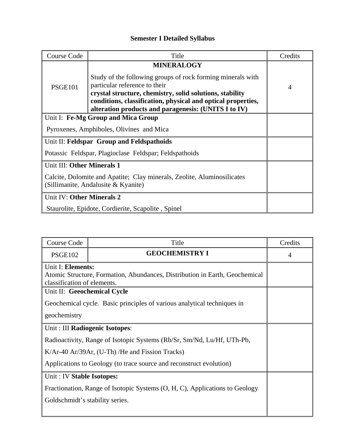# **Semester I Detailed Syllabus**

| <b>Course Code</b>                                                                                             | Title                                                                                                                                                                                                                                                                            | Credits |
|----------------------------------------------------------------------------------------------------------------|----------------------------------------------------------------------------------------------------------------------------------------------------------------------------------------------------------------------------------------------------------------------------------|---------|
|                                                                                                                | <b>MINERALOGY</b>                                                                                                                                                                                                                                                                |         |
| <b>PSGE101</b>                                                                                                 | Study of the following groups of rock forming minerals with<br>particular reference to their<br>crystal structure, chemistry, solid solutions, stability<br>conditions, classification, physical and optical properties,<br>alteration products and paragenesis: (UNITS I to IV) | 4       |
|                                                                                                                | Unit I: Fe-Mg Group and Mica Group                                                                                                                                                                                                                                               |         |
|                                                                                                                | Pyroxenes, Amphiboles, Olivines and Mica                                                                                                                                                                                                                                         |         |
| Unit II: Feldspar Group and Feldspathoids                                                                      |                                                                                                                                                                                                                                                                                  |         |
| Potassic Feldspar, Plagioclase Feldspar; Feldspathoids                                                         |                                                                                                                                                                                                                                                                                  |         |
| Unit III: Other Minerals 1                                                                                     |                                                                                                                                                                                                                                                                                  |         |
| Calcite, Dolomite and Apatite; Clay minerals, Zeolite, Aluminosilicates<br>(Sillimanite, Andalusite & Kyanite) |                                                                                                                                                                                                                                                                                  |         |
| Unit IV: Other Minerals 2                                                                                      |                                                                                                                                                                                                                                                                                  |         |
|                                                                                                                | Staurolite, Epidote, Cordierite, Scapolite, Spinel                                                                                                                                                                                                                               |         |

| <b>Course Code</b>                                                          | Title                                                                       | Credits        |  |  |
|-----------------------------------------------------------------------------|-----------------------------------------------------------------------------|----------------|--|--|
| <b>PSGE102</b>                                                              | <b>GEOCHEMISTRY I</b>                                                       | $\overline{4}$ |  |  |
| Unit I: Elements:                                                           |                                                                             |                |  |  |
|                                                                             | Atomic Structure, Formation, Abundances, Distribution in Earth, Geochemical |                |  |  |
| classification of elements.                                                 |                                                                             |                |  |  |
| Unit II: Geeochemical Cycle                                                 |                                                                             |                |  |  |
|                                                                             | Geochemical cycle. Basic principles of various analytical techniques in     |                |  |  |
| geochemistry                                                                |                                                                             |                |  |  |
| Unit: III Radiogenic Isotopes:                                              |                                                                             |                |  |  |
| Radioactivity, Range of Isotopic Systems (Rb/Sr, Sm/Nd, Lu/Hf, UTh-Pb,      |                                                                             |                |  |  |
|                                                                             | K/Ar-40 Ar/39Ar, (U-Th) / He and Fission Tracks)                            |                |  |  |
| Applications to Geology (to trace source and reconstruct evolution)         |                                                                             |                |  |  |
| Unit: IV Stable Isotopes:                                                   |                                                                             |                |  |  |
| Fractionation, Range of Isotopic Systems (O, H, C), Applications to Geology |                                                                             |                |  |  |
| Goldschmidt's stability series.                                             |                                                                             |                |  |  |
|                                                                             |                                                                             |                |  |  |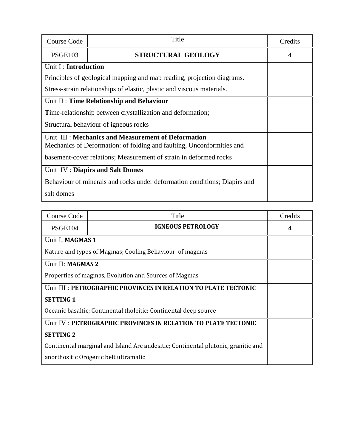| Course Code                                                                                                                 | Title                     | Credits |
|-----------------------------------------------------------------------------------------------------------------------------|---------------------------|---------|
| <b>PSGE103</b>                                                                                                              | <b>STRUCTURAL GEOLOGY</b> | 4       |
| Unit I: Introduction                                                                                                        |                           |         |
| Principles of geological mapping and map reading, projection diagrams.                                                      |                           |         |
| Stress-strain relationships of elastic, plastic and viscous materials.                                                      |                           |         |
| Unit II: Time Relationship and Behaviour                                                                                    |                           |         |
| Time-relationship between crystallization and deformation;                                                                  |                           |         |
| Structural behaviour of igneous rocks                                                                                       |                           |         |
| Unit III: Mechanics and Measurement of Deformation<br>Mechanics of Deformation: of folding and faulting, Unconformities and |                           |         |
| basement-cover relations; Measurement of strain in deformed rocks                                                           |                           |         |
| Unit IV: Diapirs and Salt Domes                                                                                             |                           |         |
| Behaviour of minerals and rocks under deformation conditions; Diapirs and                                                   |                           |         |
| salt domes                                                                                                                  |                           |         |

| Course Code                                                                       | Title                    | Credits |
|-----------------------------------------------------------------------------------|--------------------------|---------|
| <b>PSGE104</b>                                                                    | <b>IGNEOUS PETROLOGY</b> |         |
| Unit I: MAGMAS 1                                                                  |                          |         |
| Nature and types of Magmas; Cooling Behaviour of magmas                           |                          |         |
| Unit II: MAGMAS 2                                                                 |                          |         |
| Properties of magmas, Evolution and Sources of Magmas                             |                          |         |
| Unit III : PETROGRAPHIC PROVINCES IN RELATION TO PLATE TECTONIC                   |                          |         |
| <b>SETTING 1</b>                                                                  |                          |         |
| Oceanic basaltic; Continental tholeitic; Continental deep source                  |                          |         |
| Unit IV: PETROGRAPHIC PROVINCES IN RELATION TO PLATE TECTONIC                     |                          |         |
| <b>SETTING 2</b>                                                                  |                          |         |
| Continental marginal and Island Arc andesitic; Continental plutonic, granitic and |                          |         |
| anorthositic Orogenic belt ultramafic                                             |                          |         |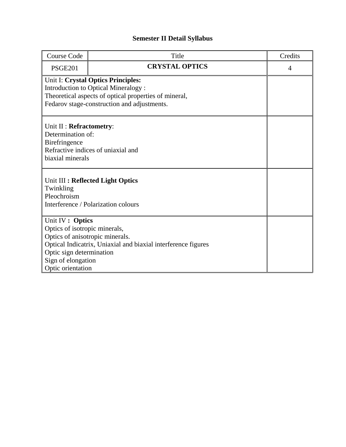# **Semester II Detail Syllabus**

| <b>Course Code</b>                                            | Title                              | Credits        |
|---------------------------------------------------------------|------------------------------------|----------------|
| <b>PSGE201</b>                                                | <b>CRYSTAL OPTICS</b>              | $\overline{4}$ |
|                                                               | Unit I: Crystal Optics Principles: |                |
| <b>Introduction to Optical Mineralogy:</b>                    |                                    |                |
| Theoretical aspects of optical properties of mineral,         |                                    |                |
| Fedarov stage-construction and adjustments.                   |                                    |                |
|                                                               |                                    |                |
| Unit II : Refractometry:                                      |                                    |                |
| Determination of:                                             |                                    |                |
| Birefringence                                                 |                                    |                |
| Refractive indices of uniaxial and                            |                                    |                |
| biaxial minerals                                              |                                    |                |
|                                                               |                                    |                |
|                                                               |                                    |                |
| Unit III : Reflected Light Optics<br>Twinkling                |                                    |                |
| Pleochroism                                                   |                                    |                |
| Interference / Polarization colours                           |                                    |                |
|                                                               |                                    |                |
| Unit IV : Optics                                              |                                    |                |
| Optics of isotropic minerals,                                 |                                    |                |
| Optics of anisotropic minerals.                               |                                    |                |
| Optical Indicatrix, Uniaxial and biaxial interference figures |                                    |                |
| Optic sign determination                                      |                                    |                |
| Sign of elongation                                            |                                    |                |
| Optic orientation                                             |                                    |                |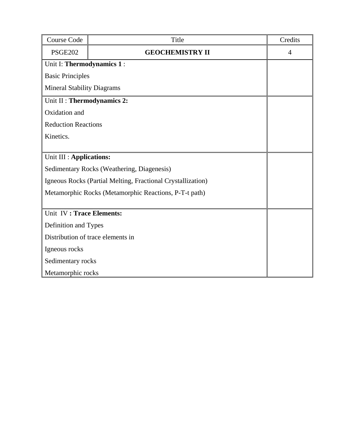| <b>Course Code</b>                                          | Title                   | Credits        |
|-------------------------------------------------------------|-------------------------|----------------|
| <b>PSGE202</b>                                              | <b>GEOCHEMISTRY II</b>  | $\overline{4}$ |
| Unit I: Thermodynamics 1 :                                  |                         |                |
|                                                             | <b>Basic Principles</b> |                |
| <b>Mineral Stability Diagrams</b>                           |                         |                |
| Unit II : Thermodynamics 2:                                 |                         |                |
| Oxidation and                                               |                         |                |
| <b>Reduction Reactions</b>                                  |                         |                |
| Kinetics.                                                   |                         |                |
|                                                             |                         |                |
| Unit III : Applications:                                    |                         |                |
| Sedimentary Rocks (Weathering, Diagenesis)                  |                         |                |
| Igneous Rocks (Partial Melting, Fractional Crystallization) |                         |                |
| Metamorphic Rocks (Metamorphic Reactions, P-T-t path)       |                         |                |
|                                                             |                         |                |
| Unit IV: Trace Elements:                                    |                         |                |
| Definition and Types                                        |                         |                |
| Distribution of trace elements in                           |                         |                |
| Igneous rocks                                               |                         |                |
| Sedimentary rocks                                           |                         |                |
| Metamorphic rocks                                           |                         |                |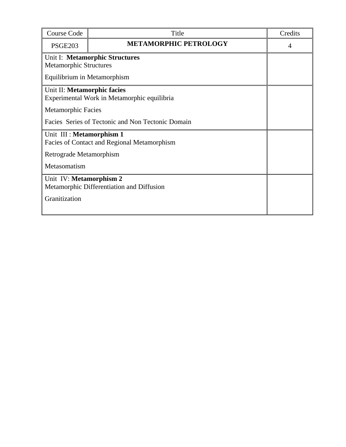| Course Code                                       | Title                          | Credits |  |
|---------------------------------------------------|--------------------------------|---------|--|
| <b>PSGE203</b>                                    | <b>METAMORPHIC PETROLOGY</b>   | 4       |  |
|                                                   | Unit I: Metamorphic Structures |         |  |
| <b>Metamorphic Structures</b>                     |                                |         |  |
| Equilibrium in Metamorphism                       |                                |         |  |
|                                                   | Unit II: Metamorphic facies    |         |  |
| Experimental Work in Metamorphic equilibria       |                                |         |  |
| <b>Metamorphic Facies</b>                         |                                |         |  |
| Facies Series of Tectonic and Non Tectonic Domain |                                |         |  |
| Unit III : Metamorphism 1                         |                                |         |  |
| Facies of Contact and Regional Metamorphism       |                                |         |  |
| Retrograde Metamorphism                           |                                |         |  |
| Metasomatism                                      |                                |         |  |
|                                                   | Unit IV: Metamorphism 2        |         |  |
| Metamorphic Differentiation and Diffusion         |                                |         |  |
| Granitization                                     |                                |         |  |
|                                                   |                                |         |  |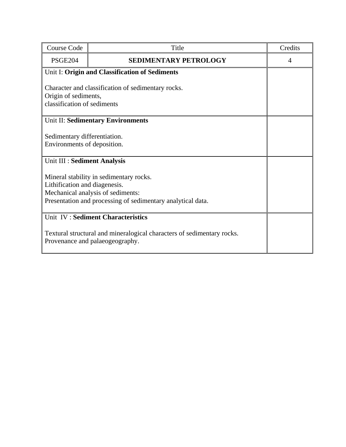| <b>Course Code</b>                                                                                                                                                           | Title                                          | Credits |
|------------------------------------------------------------------------------------------------------------------------------------------------------------------------------|------------------------------------------------|---------|
| <b>PSGE204</b>                                                                                                                                                               | <b>SEDIMENTARY PETROLOGY</b>                   | 4       |
|                                                                                                                                                                              | Unit I: Origin and Classification of Sediments |         |
| Character and classification of sedimentary rocks.<br>Origin of sediments,<br>classification of sediments                                                                    |                                                |         |
| Unit II: Sedimentary Environments                                                                                                                                            |                                                |         |
| Sedimentary differentiation.<br>Environments of deposition.                                                                                                                  |                                                |         |
| Unit III : Sediment Analysis                                                                                                                                                 |                                                |         |
| Mineral stability in sedimentary rocks.<br>Lithification and diagenesis.<br>Mechanical analysis of sediments:<br>Presentation and processing of sedimentary analytical data. |                                                |         |
| Unit IV : Sediment Characteristics                                                                                                                                           |                                                |         |
| Textural structural and mineralogical characters of sedimentary rocks.<br>Provenance and palaeogeography.                                                                    |                                                |         |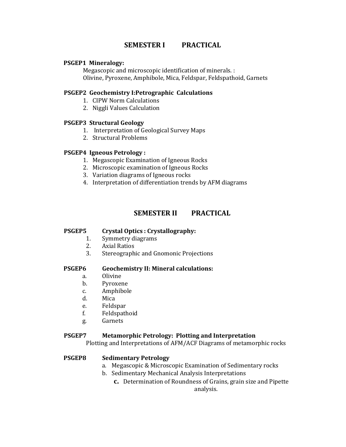# **SEMESTER I PRACTICAL**

### **PSGEP1 Mineralogy:**

Megascopic and microscopic identification of minerals. : Olivine, Pyroxene, Amphibole, Mica, Feldspar, Feldspathoid, Garnets

### **PSGEP2 Geochemistry I:Petrographic Calculations**

- 1. CIPW Norm Calculations
- 2. Niggli Values Calculation

### **PSGEP3 Structural Geology**

- 1. Interpretation of Geological Survey Maps
- 2. Structural Problems

### **PSGEP4 Igneous Petrology :**

- 1. Megascopic Examination of Igneous Rocks
- 2. Microscopic examination of Igneous Rocks
- 3. Variation diagrams of Igneous rocks
- 4. Interpretation of differentiation trends by AFM diagrams

# **SEMESTER II PRACTICAL**

## **PSGEP5 Crystal Optics : Crystallography:**

- 1. Symmetry diagrams
- 2. Axial Ratios
- 3. Stereographic and Gnomonic Projections

#### **PSGEP6 Geochemistry II: Mineral calculations:**

- a. Olivine
- b. Pyroxene
- c. Amphibole
- d. Mica
- e. Feldspar
- f. Feldspathoid
- g. Garnets

#### **PSGEP7 Metamorphic Petrology: Plotting and Interpretation**

Plotting and Interpretations of AFM/ACF Diagrams of metamorphic rocks

## **PSGEP8 Sedimentary Petrology**

- a. Megascopic & Microscopic Examination of Sedimentary rocks
- b. Sedimentary Mechanical Analysis Interpretations
	- **c.** Determination of Roundness of Grains, grain size and Pipette analysis.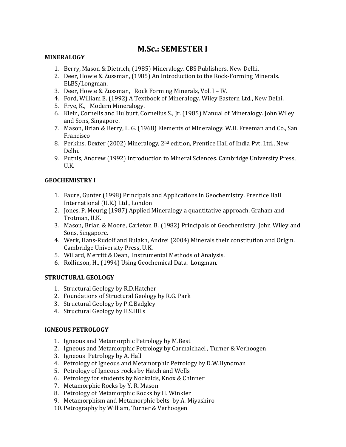# **M.Sc.: SEMESTER I**

## **MINERALOGY**

- 1. Berry, Mason & Dietrich, (1985) Mineralogy. CBS Publishers, New Delhi.
- 2. Deer, Howie & Zussman, (1985) An Introduction to the Rock‐Forming Minerals. ELBS/Longman.
- 3. Deer, Howie & Zussman, Rock Forming Minerals, Vol. I IV.
- 4. Ford, William E. (1992) A Textbook of Mineralogy. Wiley Eastern Ltd., New Delhi.
- 5. Frye, K., Modern Mineralogy.
- 6. Klein, Cornelis and Hulburt, Cornelius S., Jr. (1985) Manual of Mineralogy. John Wiley and Sons, Singapore.
- 7. Mason, Brian & Berry, L. G. (1968) Elements of Mineralogy. W.H. Freeman and Co., San Francisco
- 8. Perkins, Dexter (2002) Mineralogy, 2nd edition, Prentice Hall of India Pvt. Ltd., New Delhi.
- 9. Putnis, Andrew (1992) Introduction to Mineral Sciences. Cambridge University Press, U.K.

## **GEOCHEMISTRY I**

- 1. Faure, Gunter (1998) Principals and Applications in Geochemistry. Prentice Hall International (U.K.) Ltd., London
- 2. Jones, P. Meurig (1987) Applied Mineralogy a quantitative approach. Graham and Trotman, U.K.
- 3. Mason, Brian & Moore, Carleton B. (1982) Principals of Geochemistry. John Wiley and Sons, Singapore.
- 4. Werk, Hans‐Rudolf and Bulakh, Andrei (2004) Minerals their constitution and Origin. Cambridge University Press, U.K.
- 5. Willard, Merritt & Dean, Instrumental Methods of Analysis.
- 6. Rollinson, H., (1994) Using Geochemical Data. Longman.

## **STRUCTURAL GEOLOGY**

- 1. Structural Geology by R.D.Hatcher
- 2. Foundations of Structural Geology by R.G. Park
- 3. Structural Geology by P.C.Badgley
- 4. Structural Geology by E.S.Hills

## **IGNEOUS PETROLOGY**

- 1. Igneous and Metamorphic Petrology by M.Best
- 2. Igneous and Metamorphic Petrology by Carmaichael , Turner & Verhoogen
- 3. Igneous Petrology by A. Hall
- 4. Petrology of Igneous and Metamorphic Petrology by D.W.Hyndman
- 5. Petrology of Igneous rocks by Hatch and Wells
- 6. Petrology for students by Nockalds, Knox & Chinner
- 7. Metamorphic Rocks by Y. R. Mason
- 8. Petrology of Metamorphic Rocks by H. Winkler
- 9. Metamorphism and Metamorphic belts by A. Miyashiro
- 10. Petrography by William, Turner & Verhoogen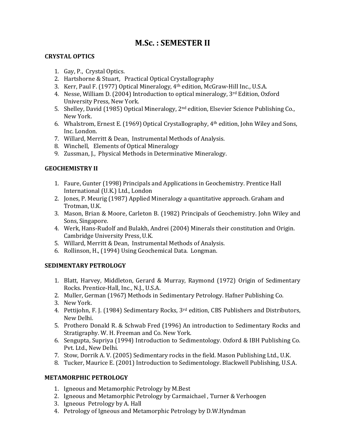# **M.Sc. : SEMESTER II**

## **CRYSTAL OPTICS**

- 1. Gay, P., Crystal Optics.
- 2. Hartshorne & Stuart, Practical Optical Crystallography
- 3. Kerr, Paul F. (1977) Optical Mineralogy, 4th edition, McGraw‐Hill Inc., U.S.A.
- 4. Nesse, William D. (2004) Introduction to optical mineralogy, 3rd Edition, Oxford University Press, New York.
- 5. Shelley, David (1985) Optical Mineralogy, 2<sup>nd</sup> edition, Elsevier Science Publishing Co., New York.
- 6. Whalstrom, Ernest E. (1969) Optical Crystallography,  $4<sup>th</sup>$  edition, John Wiley and Sons, Inc. London.
- 7. Willard, Merritt & Dean, Instrumental Methods of Analysis.
- 8. Winchell, Elements of Optical Mineralogy
- 9. Zussman, J., Physical Methods in Determinative Mineralogy.

# **GEOCHEMISTRY II**

- 1. Faure, Gunter (1998) Principals and Applications in Geochemistry. Prentice Hall International (U.K.) Ltd., London
- 2. Jones, P. Meurig (1987) Applied Mineralogy a quantitative approach. Graham and Trotman, U.K.
- 3. Mason, Brian & Moore, Carleton B. (1982) Principals of Geochemistry. John Wiley and Sons, Singapore.
- 4. Werk, Hans‐Rudolf and Bulakh, Andrei (2004) Minerals their constitution and Origin. Cambridge University Press, U.K.
- 5. Willard, Merritt & Dean, Instrumental Methods of Analysis.
- 6. Rollinson, H., (1994) Using Geochemical Data. Longman.

## **SEDIMENTARY PETROLOGY**

- 1. Blatt, Harvey, Middleton, Gerard & Murray, Raymond (1972) Origin of Sedimentary Rocks. Prentice‐Hall, Inc., N.J., U.S.A.
- 2. Muller, German (1967) Methods in Sedimentary Petrology. Hafner Publishing Co.
- 3. New York.
- 4. Pettijohn, F. J. (1984) Sedimentary Rocks, 3<sup>rd</sup> edition, CBS Publishers and Distributors, New Delhi.
- 5. Prothero Donald R. & Schwab Fred (1996) An introduction to Sedimentary Rocks and Stratigraphy. W. H. Freeman and Co. New York.
- 6. Sengupta, Supriya (1994) Introduction to Sedimentology. Oxford & IBH Publishing Co. Pvt. Ltd., New Delhi.
- 7. Stow, Dorrik A. V. (2005) Sedimentary rocks in the field. Mason Publishing Ltd., U.K.
- 8. Tucker, Maurice E. (2001) Introduction to Sedimentology. Blackwell Publishing, U.S.A.

## **METAMORPHIC PETROLOGY**

- 1. Igneous and Metamorphic Petrology by M.Best
- 2. Igneous and Metamorphic Petrology by Carmaichael , Turner & Verhoogen
- 3. Igneous Petrology by A. Hall
- 4. Petrology of Igneous and Metamorphic Petrology by D.W.Hyndman